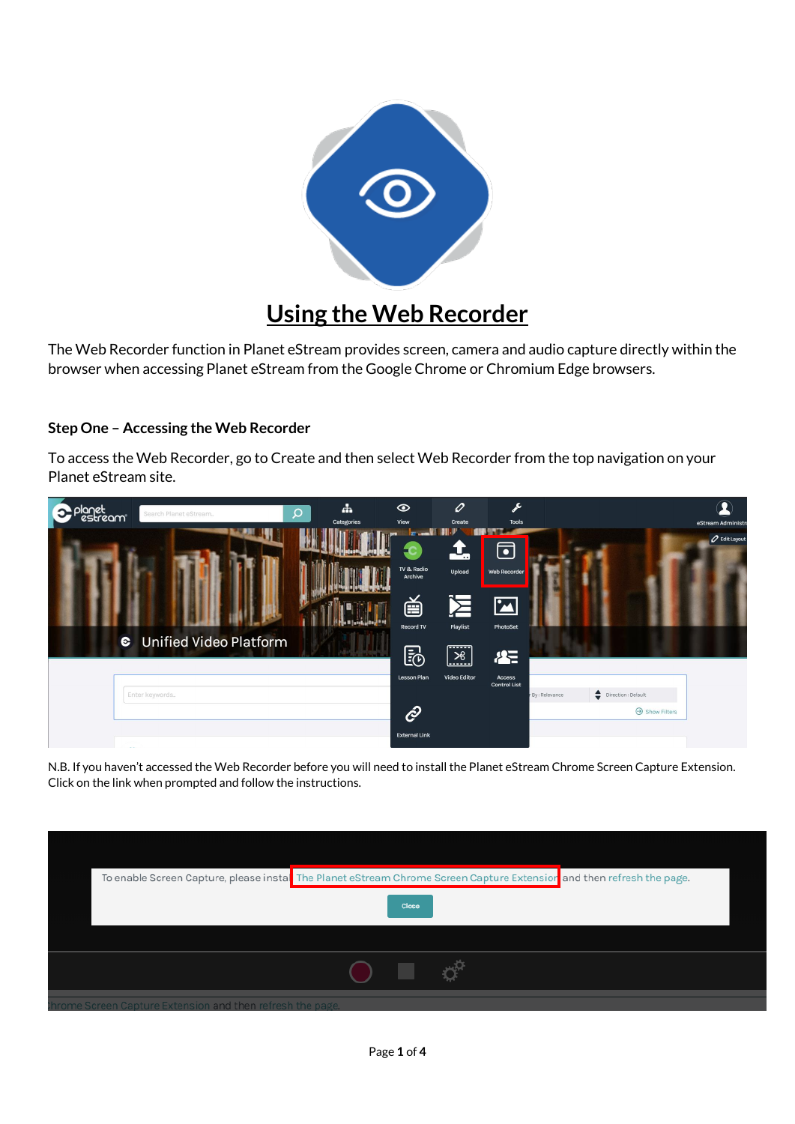

## **Using the Web Recorder**

The Web Recorder function in Planet eStream provides screen, camera and audio capture directly within the browser when accessing Planet eStream from the Google Chrome or Chromium Edge browsers.

## **Step One – Accessing the Web Recorder**

To access the Web Recorder, go to Create and then select Web Recorder from the top navigation on your Planet eStream site.



N.B. If you haven't accessed the Web Recorder before you will need to install the Planet eStream Chrome Screen Capture Extension. Click on the link when prompted and follow the instructions.

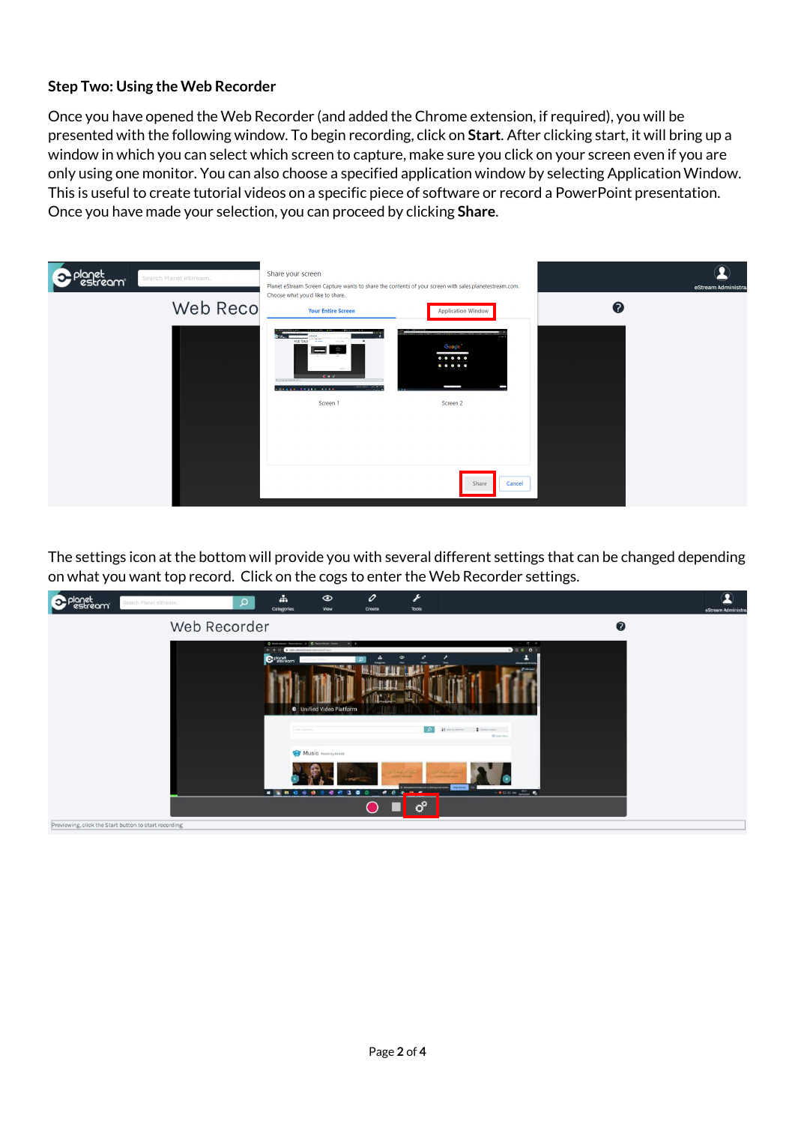## **Step Two: Using the Web Recorder**

Once you have opened the Web Recorder (and added the Chrome extension, if required), you will be presented with the following window. To begin recording, click on **Start**. After clicking start, it will bring up a window in which you can select which screen to capture, make sure you click on your screen even if you are only using one monitor. You can also choose a specified application window by selecting Application Window. This is useful to create tutorial videos on a specific piece of software or record a PowerPoint presentation. Once you have made your selection, you can proceed by clicking **Share**.



The settings icon at the bottom will provide you with several different settings that can be changed depending on what you want top record. Click on the cogs to enter the Web Recorder settings.

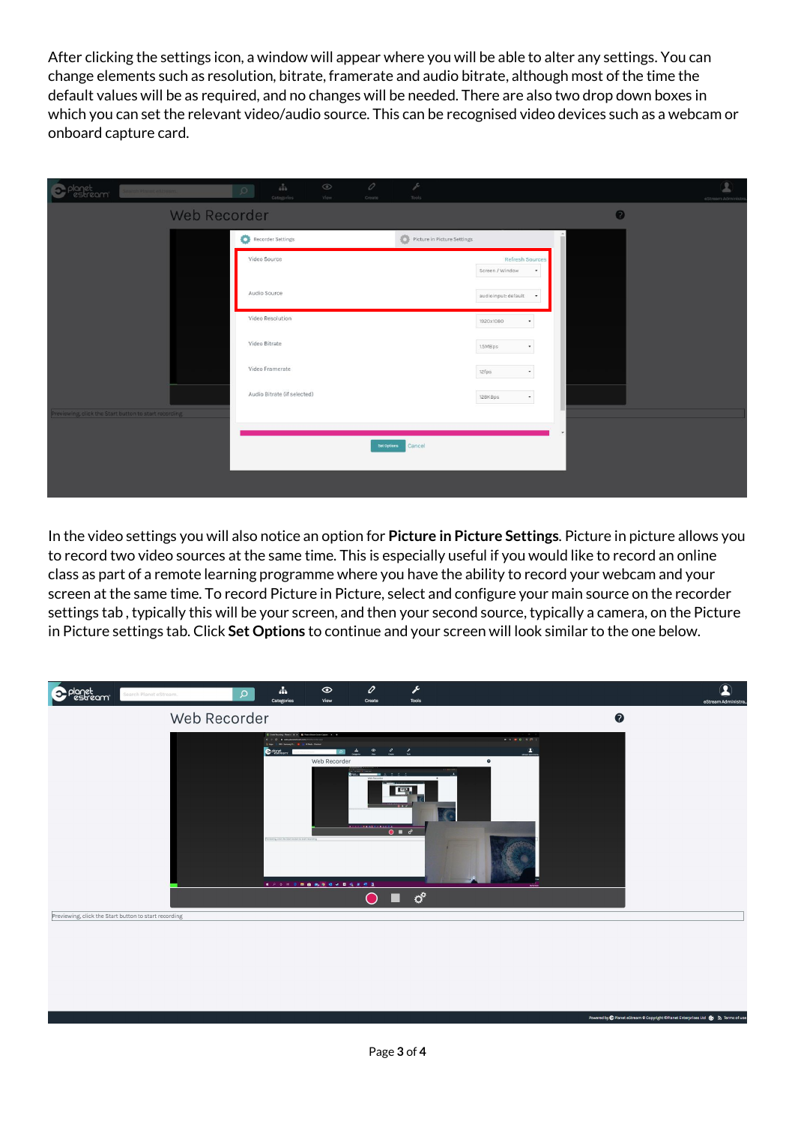After clicking the settings icon, a window will appear where you will be able to alter any settings. You can change elements such as resolution, bitrate, framerate and audio bitrate, although most of the time the default values will be as required, and no changes will be needed. There are also two drop down boxes in which you can set the relevant video/audio source. This can be recognised video devices such as a webcam or onboard capture card.

| planet<br>carpital Planet estream<br>zami             | 0<br>$\frac{\alpha}{\alpha+\alpha}$<br>$\odot$<br>View.<br>Categories<br>Create | j.<br>Tools                                     | 呈<br>eStream Administra |
|-------------------------------------------------------|---------------------------------------------------------------------------------|-------------------------------------------------|-------------------------|
| Web Recorder                                          |                                                                                 |                                                 | $\bullet$               |
|                                                       | Recorder Settings                                                               | $\bullet$ Picture in Picture Settings           |                         |
|                                                       | Video Source                                                                    | Refresh Sources<br>Screen / Window<br>٠         |                         |
|                                                       | Audio Source                                                                    | audioinput: default<br>$\overline{\phantom{a}}$ |                         |
|                                                       | Video Resolution                                                                | 1920x1080                                       |                         |
|                                                       | Video Bitrate                                                                   | 1.5MBps                                         |                         |
|                                                       | Video Framerate                                                                 | 12fps                                           |                         |
|                                                       | Audio Bitrate (if selected)                                                     | 128KBps<br>$\overline{\phantom{a}}$             |                         |
| Previewing, click the Start button to start recording |                                                                                 |                                                 |                         |
|                                                       | Set Options                                                                     | Cancel                                          |                         |
|                                                       |                                                                                 |                                                 |                         |

In the video settings you will also notice an option for **Picture in Picture Settings**. Picture in picture allows you to record two video sources at the same time. This is especially useful if you would like to record an online class as part of a remote learning programme where you have the ability to record your webcam and your screen at the same time. To record Picture in Picture, select and configure your main source on the recorder settings tab , typically this will be your screen, and then your second source, typically a camera, on the Picture in Picture settings tab. Click **Set Options** to continue and your screen will look similar to the one below.